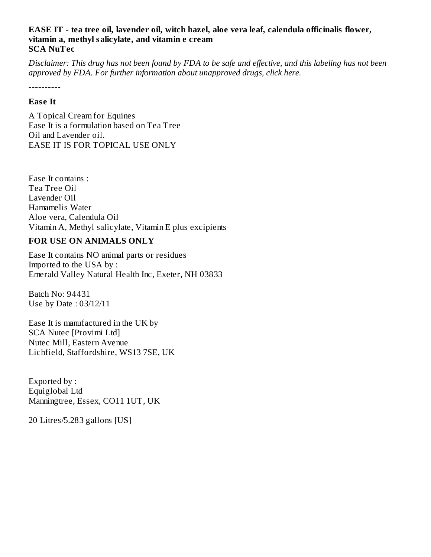### **EASE IT - tea tree oil, lavender oil, witch hazel, aloe vera leaf, calendula officinalis flower, vitamin a, methyl salicylate, and vitamin e cream SCA NuTec**

Disclaimer: This drug has not been found by FDA to be safe and effective, and this labeling has not been *approved by FDA. For further information about unapproved drugs, click here.*

----------

### **Eas e It**

A Topical Cream for Equines Ease It is a formulation based on Tea Tree Oil and Lavender oil. EASE IT IS FOR TOPICAL USE ONLY

Ease It contains : Tea Tree Oil Lavender Oil Hamamelis Water Aloe vera, Calendula Oil Vitamin A, Methyl salicylate, Vitamin E plus excipients

## **FOR USE ON ANIMALS ONLY**

Ease It contains NO animal parts or residues Imported to the USA by : Emerald Valley Natural Health Inc, Exeter, NH 03833

Batch No: 94431 Use by Date : 03/12/11

Ease It is manufactured in the UK by SCA Nutec [Provimi Ltd] Nutec Mill, Eastern Avenue Lichfield, Staffordshire, WS13 7SE, UK

Exported by : Equiglobal Ltd Manningtree, Essex, CO11 1UT, UK

20 Litres/5.283 gallons [US]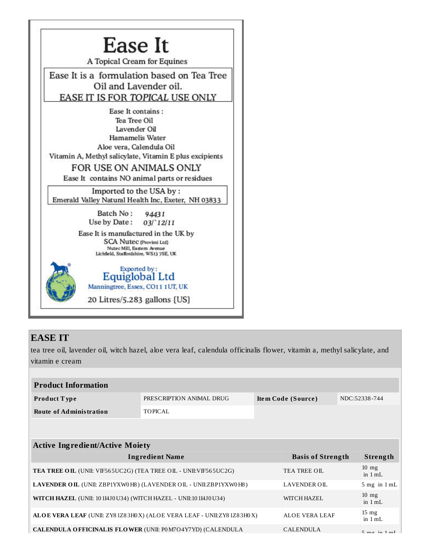

## **EASE IT**

tea tree oil, lavender oil, witch hazel, aloe vera leaf, calendula officinalis flower, vitamin a, methyl salicylate, and vitamin e cream

| <b>Product Information</b>                                                               |                          |                    |                              |                     |                            |  |  |
|------------------------------------------------------------------------------------------|--------------------------|--------------------|------------------------------|---------------------|----------------------------|--|--|
| Product Type                                                                             | PRESCRIPTION ANIMAL DRUG | Item Code (Source) |                              | NDC:52338-744       |                            |  |  |
| <b>Route of Administration</b>                                                           | TOPICAL                  |                    |                              |                     |                            |  |  |
|                                                                                          |                          |                    |                              |                     |                            |  |  |
|                                                                                          |                          |                    |                              |                     |                            |  |  |
| <b>Active Ingredient/Active Moiety</b>                                                   |                          |                    |                              |                     |                            |  |  |
| <b>Ingredient Name</b>                                                                   |                          |                    | <b>Basis of Strength</b>     |                     | Strength                   |  |  |
| <b>TEA TREE OIL (UNII: VIF565UC2G) (TEA TREE OIL - UNII: VIF565UC2G)</b>                 |                          |                    | TEA TREE OIL                 |                     | $10$ mg<br>in 1 mL         |  |  |
| LAVENDER OIL (UNII: ZBP1YXW0H8) (LAVENDER OIL - UNII:ZBP1YXW0H8)                         | <b>LAVENDER OIL</b>      |                    | $5$ mg in $1$ mL             |                     |                            |  |  |
| <b>WITCH HAZEL</b> (UNII: 10 114J0 U34) (WITCH HAZEL - UNII:10 114J0 U34)<br>WITCH HAZEL |                          |                    |                              |                     | $10 \text{ mg}$<br>in 1 mL |  |  |
| ALOE VERA LEAF (UNII: ZY81Z83H0X) (ALOE VERA LEAF - UNII:ZY81Z83H0X)                     | <b>ALOE VERA LEAF</b>    |                    | $15 \text{ mg}$<br>in $1 mL$ |                     |                            |  |  |
| <b>CALENDULA OFFICINALIS FLOWER (UNII: P0M7O4Y7YD) (CALENDULA</b>                        |                          | <b>CALENDULA</b>   |                              | $Em \sigma$ in 1 mI |                            |  |  |